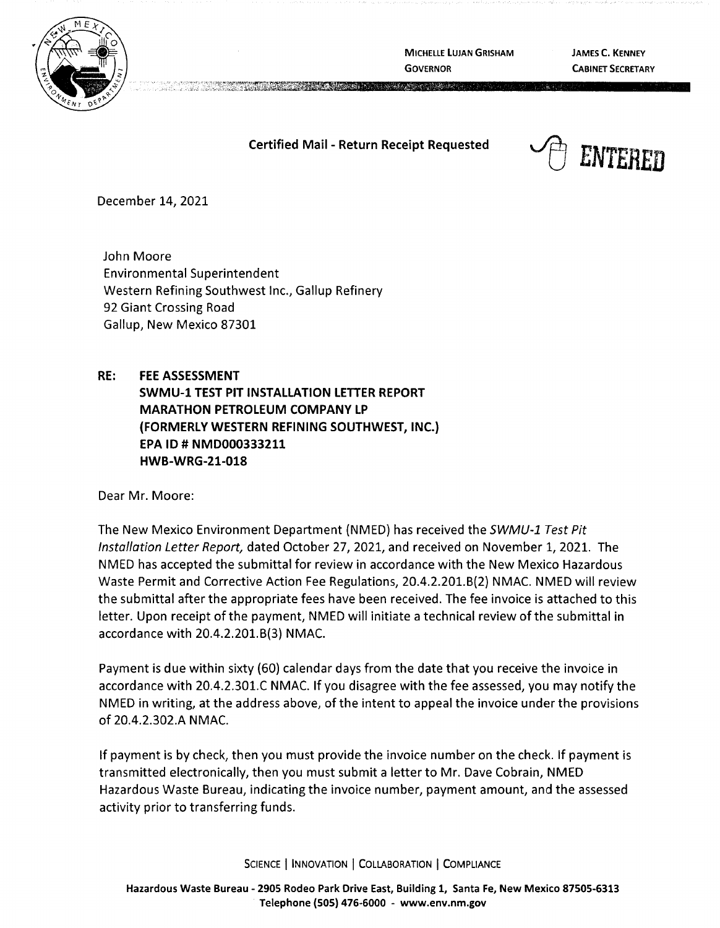

**MICHELLE LUJAN GRISHAM GOVERNOR** 

A ASSESSMENT

**JAMES C. KENNEY CABINET SECRETARY** 

**Certified Mail** - **Return Receipt Requested** 



December 14, 2021

John Moore Environmental Superintendent Western Refining Southwest Inc., Gallup Refinery 92 Giant Crossing Road Gallup, New Mexico 87301

**RE: FEE ASSESSMENT SWMU-1 TEST PIT INSTALLATION LETTER REPORT MARATHON PETROLEUM COMPANY LP (FORMERLY WESTERN REFINING SOUTHWEST, INC.) EPA** ID# **NMD000333211 HWB-WRG-21-018** 

Dear Mr. Moore:

The New Mexico Environment Department (NMED) has received the SWMU-1 Test Pit Installation Letter Report, dated October 27, 2021, and received on November 1, 2021. The NMED has accepted the submittal for review in accordance with the New Mexico Hazardous Waste Permit and Corrective Action Fee Regulations, 20.4.2.201.6(2) NMAC. NMED will review the submittal after the appropriate fees have been received. The fee invoice is attached to this letter. Upon receipt of the payment, NMED will initiate a technical review of the submittal in accordance with 20.4.2.201.6(3) NMAC.

Payment is due within sixty {60) calendar days from the date that you receive the invoice in accordance with 20.4.2.301.C NMAC. If you disagree with the fee assessed, you may notify the NMED in writing, at the address above, of the intent to appeal the invoice under the provisions of 20.4.2.302.A NMAC.

If payment is by check, then you must provide the invoice number on the check. If payment is transmitted electronically, then you must submit a letter to Mr. Dave Cobrain, NMED Hazardous Waste Bureau, indicating the invoice number, payment amount, and the assessed activity prior to transferring funds.

SCIENCE | INNOVATION | COLLABORATION | COMPLIANCE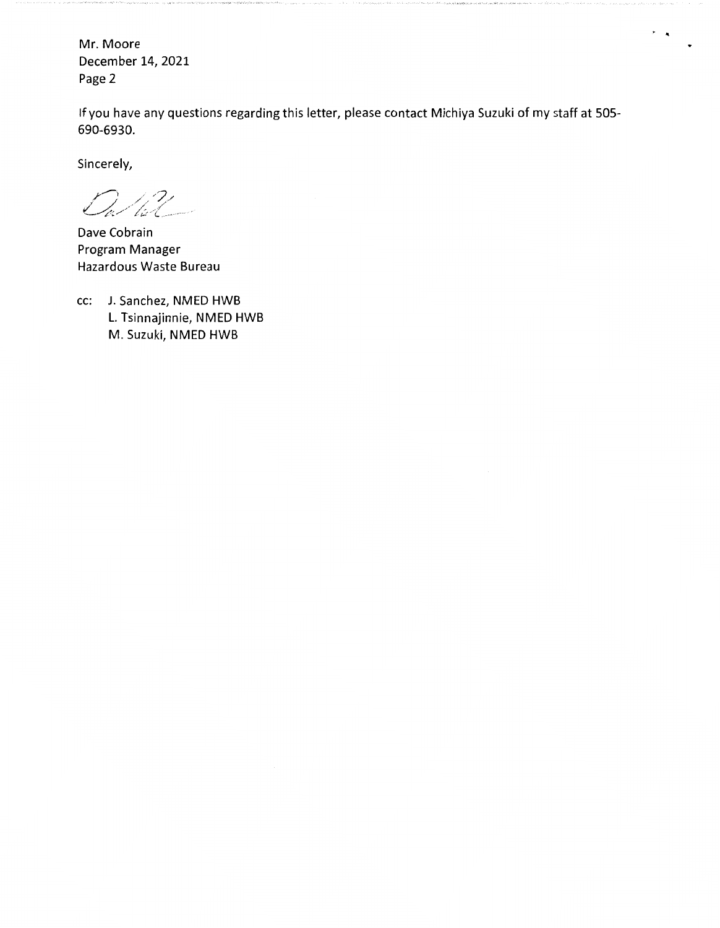Mr. Moore December 14, 2021 Page 2

If you have any questions regarding this letter, please contact Michiya Suzuki of my staff at 505- 690-6930.

 $\cdot$ .

Sincerely,

 $\mathcal{O}_{a}/\mathcal{U}_{a}$ 

Dave Cobrain Program Manager Hazardous Waste Bureau

cc: J. Sanchez, NMED HWB L. Tsinnajinnie, NMED HWB M. Suzuki, NMED HWB